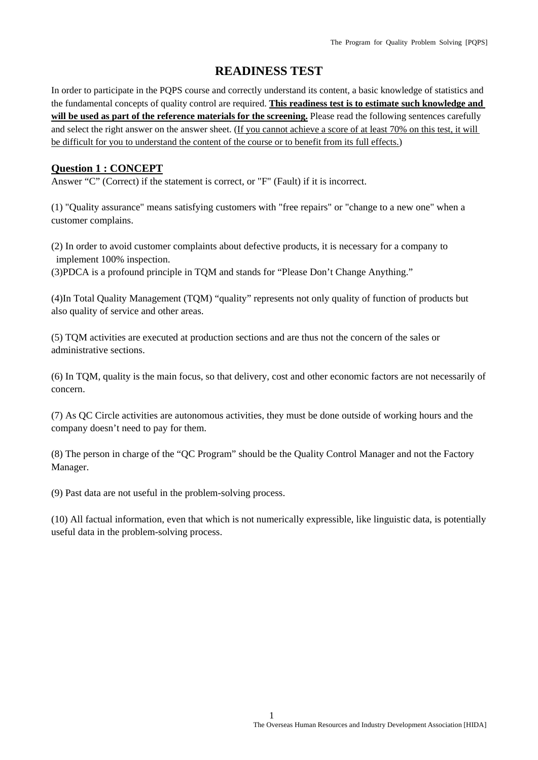## **READINESS TEST**

In order to participate in the PQPS course and correctly understand its content, a basic knowledge of statistics and the fundamental concepts of quality control are required. **This readiness test is to estimate such knowledge and will be used as part of the reference materials for the screening.** Please read the following sentences carefully and select the right answer on the answer sheet. (If you cannot achieve a score of at least 70% on this test, it will be difficult for you to understand the content of the course or to benefit from its full effects.)

### **Question 1 : CONCEPT**

Answer "C" (Correct) if the statement is correct, or "F" (Fault) if it is incorrect.

(1) "Quality assurance" means satisfying customers with "free repairs" or "change to a new one" when a customer complains.

(2) In order to avoid customer complaints about defective products, it is necessary for a company to implement 100% inspection.

(3)PDCA is a profound principle in TQM and stands for "Please Don't Change Anything."

(4)In Total Quality Management (TQM) "quality" represents not only quality of function of products but also quality of service and other areas.

(5) TQM activities are executed at production sections and are thus not the concern of the sales or administrative sections.

(6) In TQM, quality is the main focus, so that delivery, cost and other economic factors are not necessarily of concern.

(7) As QC Circle activities are autonomous activities, they must be done outside of working hours and the company doesn't need to pay for them.

(8) The person in charge of the "QC Program" should be the Quality Control Manager and not the Factory Manager.

(9) Past data are not useful in the problem-solving process.

(10) All factual information, even that which is not numerically expressible, like linguistic data, is potentially useful data in the problem-solving process.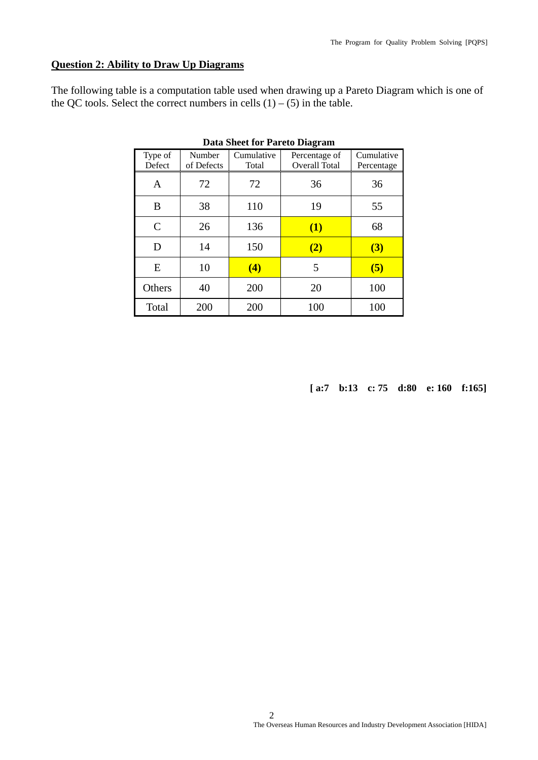## **Question 2: Ability to Draw Up Diagrams**

The following table is a computation table used when drawing up a Pareto Diagram which is one of the QC tools. Select the correct numbers in cells  $(1) - (5)$  in the table.

| <b>Data Sheet for Pareto Diagram</b> |                      |                     |                                |                          |  |  |  |  |
|--------------------------------------|----------------------|---------------------|--------------------------------|--------------------------|--|--|--|--|
| Type of<br>Defect                    | Number<br>of Defects | Cumulative<br>Total | Percentage of<br>Overall Total | Cumulative<br>Percentage |  |  |  |  |
| A                                    | 72                   | 72                  | 36                             | 36                       |  |  |  |  |
| B                                    | 38<br>110            |                     | 19                             | 55                       |  |  |  |  |
| $\mathcal{C}$                        | 26                   | 136                 | (1)                            | 68                       |  |  |  |  |
| D                                    | 14                   | 150                 | (2)                            | (3)                      |  |  |  |  |
| Ε                                    | 10                   | (4)                 | 5                              | (5)                      |  |  |  |  |
| Others                               | 40                   | 200                 | 20                             | 100                      |  |  |  |  |
| Total                                | 200                  | 200                 | 100                            | 100                      |  |  |  |  |

**[ a:7 b:13 c: 75 d:80 e: 160 f:165]**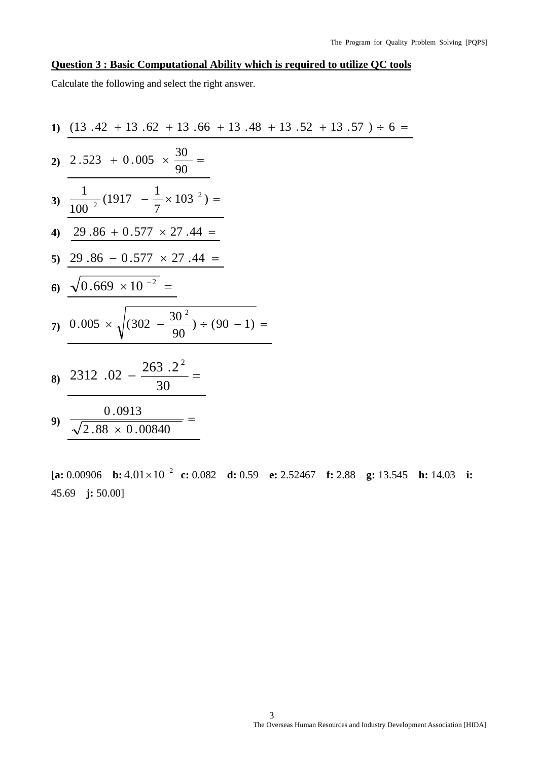## **Question 3 : Basic Computational Ability which is required to utilize QC tools**

Calculate the following and select the right answer.

1) 
$$
\frac{(13.42 + 13.62 + 13.66 + 13.48 + 13.52 + 13.57) \div 6 =
$$
  
\n2) 
$$
2.523 + 0.005 \times \frac{30}{90} =
$$
  
\n3) 
$$
\frac{1}{100^{2}}(1917 - \frac{1}{7} \times 103^{2}) =
$$
  
\n4) 
$$
\frac{29.86 + 0.577 \times 27.44 =}{29.86 - 0.577 \times 27.44 =
$$
  
\n5) 
$$
\frac{29.86 - 0.577 \times 27.44 =}{\sqrt{0.669 \times 10^{-2}} =
$$
  
\n7) 
$$
\frac{0.005 \times \sqrt{(302 - \frac{30^{2}}{90}) \div (90 - 1)} =
$$
  
\n8) 
$$
\frac{2312.02 - \frac{263.2^{2}}{30} =
$$
  
\n9) 
$$
\frac{0.0913}{\sqrt{2.88 \times 0.00840}} =
$$

[**a:** 0.00906 **b:** <sup>2</sup> 4.01 10 <sup>−</sup> × **c:** 0.082 **d:** 0.59 **e:** 2.52467 **f:** 2.88 **g:** 13.545 **h:** 14.03 **i:** 45.69 **j:** 50.00]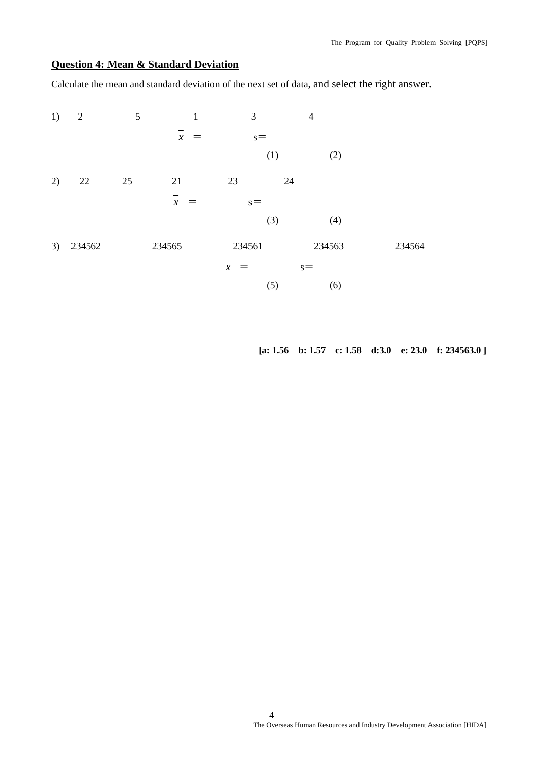## **Question 4: Mean & Standard Deviation**

Calculate the mean and standard deviation of the next set of data, and select the right answer.

| 1) | $\mathfrak{2}$ | 5<br>$\mathbf{1}$ |                            | 3                   |       |    | $\overline{4}$ |        |  |
|----|----------------|-------------------|----------------------------|---------------------|-------|----|----------------|--------|--|
|    |                |                   | $\boldsymbol{\chi}$        |                     | $s =$ |    |                |        |  |
|    |                |                   |                            |                     | (1)   |    | (2)            |        |  |
| 2) | 22             | 25                | 21                         | 23                  |       | 24 |                |        |  |
|    |                |                   | $\boldsymbol{\mathcal{X}}$ |                     | $s =$ |    |                |        |  |
|    |                |                   |                            |                     | (3)   |    | (4)            |        |  |
| 3) | 234562         |                   | 234565                     | 234561              |       |    | 234563         | 234564 |  |
|    |                |                   |                            | $\boldsymbol{\chi}$ |       |    | $s =$          |        |  |
|    |                |                   |                            |                     | (5)   |    | (6)            |        |  |

**[a: 1.56 b: 1.57 c: 1.58 d:3.0 e: 23.0 f: 234563.0 ]**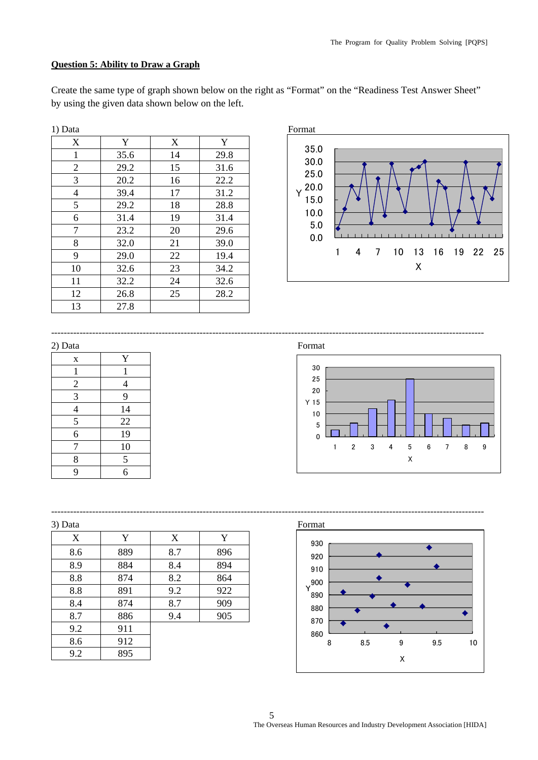### **Question 5: Ability to Draw a Graph**

Create the same type of graph shown below on the right as "Format" on the "Readiness Test Answer Sheet" by using the given data shown below on the left.

| X              | Y    | X  | Y    |
|----------------|------|----|------|
| 1              | 35.6 | 14 | 29.8 |
| $\overline{2}$ | 29.2 | 15 | 31.6 |
| 3              | 20.2 | 16 | 22.2 |
| 4              | 39.4 | 17 | 31.2 |
| 5              | 29.2 | 18 | 28.8 |
| 6              | 31.4 | 19 | 31.4 |
| 7              | 23.2 | 20 | 29.6 |
| 8              | 32.0 | 21 | 39.0 |
| 9              | 29.0 | 22 | 19.4 |
| 10             | 32.6 | 23 | 34.2 |
| 11             | 32.2 | 24 | 32.6 |
| 12             | 26.8 | 25 | 28.2 |
| 13             | 27.8 |    |      |



| {                        |                          |
|--------------------------|--------------------------|
| $\mathbf X$              | Y                        |
| $\mathbf{1}$             | 1                        |
| $\overline{c}$           | $\overline{\mathcal{L}}$ |
| 3                        | 9                        |
| $\overline{\mathcal{L}}$ | 14                       |
| $\overline{5}$           | 22                       |
| 6                        | 19                       |
| 7                        | 10                       |
| 8                        | 5                        |
| 9                        | 6                        |

2) Data Format

-----------------------------------------------------------------------------------------------------------------------------------------



| 3) Data |     |     |     | Format |
|---------|-----|-----|-----|--------|
| X       | Y   | X   | Y   | 930    |
| 8.6     | 889 | 8.7 | 896 | 920    |
| 8.9     | 884 | 8.4 | 894 | 910    |
| 8.8     | 874 | 8.2 | 864 | ,900   |
| 8.8     | 891 | 9.2 | 922 | 890    |
| 8.4     | 874 | 8.7 | 909 | 880    |
| 8.7     | 886 | 9.4 | 905 | 870    |
| 9.2     | 911 |     |     | 860    |
| 8.6     | 912 |     |     |        |
| 9.2     | 895 |     |     |        |

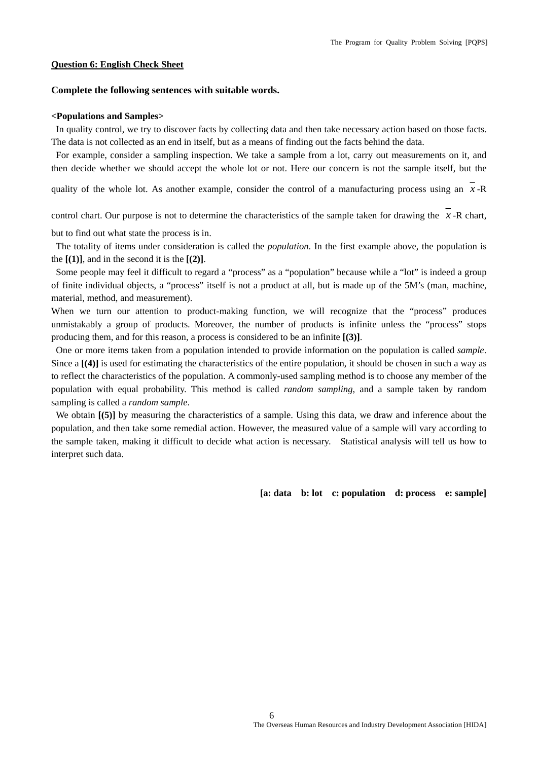### **Question 6: English Check Sheet**

### **Complete the following sentences with suitable words.**

#### **<Populations and Samples>**

 In quality control, we try to discover facts by collecting data and then take necessary action based on those facts. The data is not collected as an end in itself, but as a means of finding out the facts behind the data.

 For example, consider a sampling inspection. We take a sample from a lot, carry out measurements on it, and then decide whether we should accept the whole lot or not. Here our concern is not the sample itself, but the

quality of the whole lot. As another example, consider the control of a manufacturing process using an  $x - R$ 

control chart. Our purpose is not to determine the characteristics of the sample taken for drawing the *x* -R chart,

but to find out what state the process is in.

 The totality of items under consideration is called the *population*. In the first example above, the population is the  $[(1)]$ , and in the second it is the  $[(2)]$ .

 Some people may feel it difficult to regard a "process" as a "population" because while a "lot" is indeed a group of finite individual objects, a "process" itself is not a product at all, but is made up of the 5M's (man, machine, material, method, and measurement).

When we turn our attention to product-making function, we will recognize that the "process" produces unmistakably a group of products. Moreover, the number of products is infinite unless the "process" stops producing them, and for this reason, a process is considered to be an infinite **[(3)]**.

 One or more items taken from a population intended to provide information on the population is called *sample*. Since a  $[(4)]$  is used for estimating the characteristics of the entire population, it should be chosen in such a way as to reflect the characteristics of the population. A commonly-used sampling method is to choose any member of the population with equal probability. This method is called *random sampling*, and a sample taken by random sampling is called a *random sample*.

We obtain **[(5)]** by measuring the characteristics of a sample. Using this data, we draw and inference about the population, and then take some remedial action. However, the measured value of a sample will vary according to the sample taken, making it difficult to decide what action is necessary. Statistical analysis will tell us how to interpret such data.

**[a: data b: lot c: population d: process e: sample]**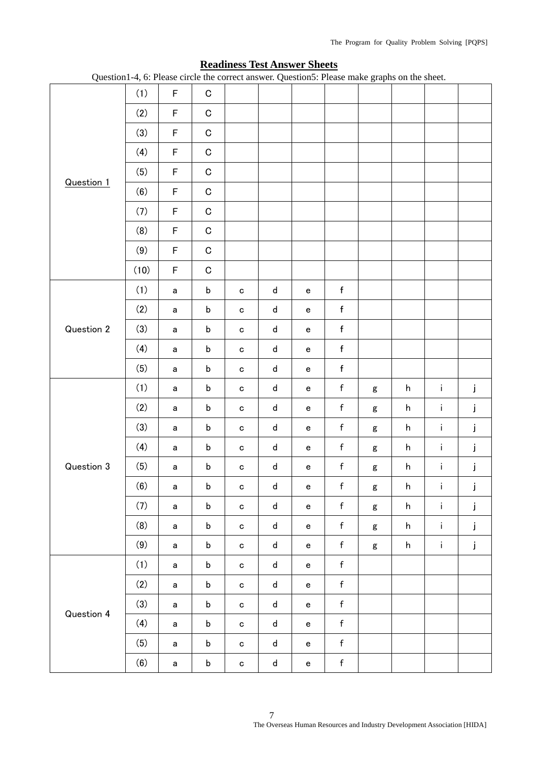|                   | (1)  | $\mathsf F$  | $\mathbf C$ |                |             |                                   |              |              |   |              |              |
|-------------------|------|--------------|-------------|----------------|-------------|-----------------------------------|--------------|--------------|---|--------------|--------------|
|                   | (2)  | F            | $\mathbf C$ |                |             |                                   |              |              |   |              |              |
|                   | (3)  | $\mathsf F$  | $\mathbf C$ |                |             |                                   |              |              |   |              |              |
|                   | (4)  | $\mathsf F$  | $\mathbf C$ |                |             |                                   |              |              |   |              |              |
|                   | (5)  | $\mathsf F$  | $\mathbf C$ |                |             |                                   |              |              |   |              |              |
| <b>Question 1</b> | (6)  | F            | $\mathbf C$ |                |             |                                   |              |              |   |              |              |
|                   | (7)  | $\mathsf F$  | $\mathbf C$ |                |             |                                   |              |              |   |              |              |
|                   | (8)  | $\mathsf F$  | $\mathbf C$ |                |             |                                   |              |              |   |              |              |
|                   | (9)  | $\mathsf F$  | $\mathbf C$ |                |             |                                   |              |              |   |              |              |
|                   | (10) | F            | $\mathbf C$ |                |             |                                   |              |              |   |              |              |
|                   | (1)  | $\mathsf a$  | $\mathsf b$ | ${\bf c}$      | ${\sf d}$   | ${\bf e}$                         | f            |              |   |              |              |
|                   | (2)  | a            | $\sf b$     | $\mathbf C$    | ${\sf d}$   | $\mathbf{e}% _{t}\left( t\right)$ | $\mathsf f$  |              |   |              |              |
| Question 2        | (3)  | $\mathsf a$  | $\sf b$     | ${\bf c}$      | ${\sf d}$   | $\mathsf{e}% _{t}\left( t\right)$ | $\mathsf f$  |              |   |              |              |
|                   | (4)  | $\mathsf a$  | $\sf b$     | ${\bf c}$      | ${\sf d}$   | $\mathbf{e}% _{t}\left( t\right)$ | $\mathsf f$  |              |   |              |              |
|                   | (5)  | $\mathsf a$  | $\mathsf b$ | $\mathbf C$    | d           | ${\bf e}$                         | $\mathsf f$  |              |   |              |              |
|                   | (1)  | a            | $\mathsf b$ | $\mathbf C$    | d           | ${\bf e}$                         | $\mathsf f$  | g            | h | i.           | j            |
|                   | (2)  | $\mathsf a$  | $\sf b$     | $\mathbf C$    | ${\sf d}$   | ${\bf e}$                         | $\mathsf f$  | g            | h | i.           | j            |
|                   | (3)  | $\mathsf a$  | $\sf b$     | $\mathbf C$    | ${\sf d}$   | $\mathsf{e}% _{t}\left( t\right)$ | $\mathsf f$  | g            | h | i.           | j            |
|                   | (4)  | $\mathsf a$  | $\mathsf b$ | $\mathbf C$    | d           | $\mathsf{e}% _{t}\left( t\right)$ | f            | $\mathsf g$  | h | i.           | j            |
| Question 3        | (5)  | a            | $\sf b$     | $\mathbf C$    | d           | $\mathsf{e}% _{t}\left( t\right)$ | $\mathsf f$  | $\mathsf g$  | h | $\mathbf i$  | j            |
|                   | (6)  | $\mathbf{a}$ | $\mathsf b$ | $\mathbf{C}^-$ | $\mathsf d$ | $\mathbf{e}$                      | $\mathsf f$  | $\mathbf{g}$ | h | $\mathbf{i}$ | $\mathbf{j}$ |
|                   | (7)  | $\mathsf{a}$ | $\sf b$     | $\mathtt{C}$   | ${\sf d}$   | $\mathsf{e}% _{t}\left( t\right)$ | $\mathsf f$  | $\mathsf g$  | h | i.           | j            |
|                   | (8)  | $\mathsf a$  | $\mathsf b$ | ${\bf c}$      | ${\sf d}$   | $\mathbf{e}% _{t}\left( t\right)$ | $\mathsf f$  | $\mathsf g$  | h | $\mathbf i$  | j            |
|                   | (9)  | $\mathsf a$  | $\mathsf b$ | $\mathtt{C}$   | ${\sf d}$   | $\mathbf{e}$                      | $\mathsf f$  | $\mathsf g$  | h | i.           | j            |
| Question 4        | (1)  | $\mathsf a$  | $\sf b$     | $\mathbf c$    | ${\sf d}$   | $\mathbf{e}% _{t}\left( t\right)$ | $\mathsf{f}$ |              |   |              |              |
|                   | (2)  | $\mathsf a$  | $\sf b$     | $\mathtt{C}$   | ${\sf d}$   | $\mathsf{e}% _{t}\left( t\right)$ | $\mathsf{f}$ |              |   |              |              |
|                   | (3)  | $\mathsf a$  | $\mathsf b$ | $\mathbf c$    | ${\sf d}$   | $\mathsf{e}% _{t}\left( t\right)$ | $\mathsf f$  |              |   |              |              |
|                   | (4)  | $\mathsf a$  | $\mathsf b$ | ${\bf c}$      | ${\sf d}$   | $\mathbf{e}% _{t}\left( t\right)$ | $\mathsf f$  |              |   |              |              |
|                   | (5)  | $\mathsf a$  | $\sf b$     | $\mathtt{C}$   | ${\sf d}$   | $\mathbf{e}% _{t}\left( t\right)$ | $\mathsf f$  |              |   |              |              |
|                   | (6)  | $\mathsf a$  | $\mathsf b$ | $\mathtt{C}$   | d           | $\mathbf{e}$                      | $\mathsf f$  |              |   |              |              |

# **Readiness Test Answer Sheets**

Question1-4, 6: Please circle the correct answer. Question5: Please make graphs on the sheet.